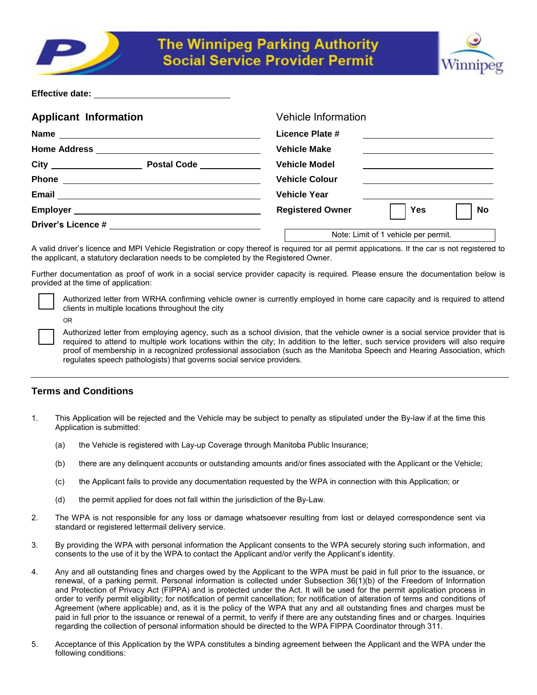



**Effective date:** 

| <b>Applicant Information</b>                                                                                                                                                                                                         | <b>Vehicle Information</b>                  |
|--------------------------------------------------------------------------------------------------------------------------------------------------------------------------------------------------------------------------------------|---------------------------------------------|
|                                                                                                                                                                                                                                      | Licence Plate #                             |
|                                                                                                                                                                                                                                      | <b>Vehicle Make</b>                         |
| City <u>___________________</u><br>Postal Code _____________                                                                                                                                                                         | <b>Vehicle Model</b>                        |
| <b>Phone</b><br><u> 1980 - Andrea Andrew Maria (h. 1980).</u>                                                                                                                                                                        | <b>Vehicle Colour</b>                       |
|                                                                                                                                                                                                                                      | <b>Vehicle Year</b>                         |
| Employer <u>example and the set of the set of the set of the set of the set of the set of the set of the set of the set of the set of the set of the set of the set of the set of the set of the set of the set of the set of th</u> | <b>Registered Owner</b><br>No<br><b>Yes</b> |
|                                                                                                                                                                                                                                      |                                             |
|                                                                                                                                                                                                                                      | Note: Limit of 1 vehicle per permit.        |

A valid driver's licence and MPI Vehicle Registration or copy thereof is required for all permit applications. If the car is not registered to the applicant, a statutory declaration needs to be completed by the Registered Owner.

Further documentation as proof of work in a social service provider capacity is required. Please ensure the documentation below is provided at the time of application:

OR

Authorized letter from WRHA confirming vehicle owner is currently employed in home care capacity and is required to attend clients in multiple locations throughout the city

Authorized letter from employing agency, such as a school division, that the vehicle owner is a social service provider that is required to attend to multiple work locations within the city; In addition to the letter, such service providers will also require proof of membership in a recognized professional association (such as the Manitoba Speech and Hearing Association, which regulates speech pathologists) that governs social service providers.

# **Terms and Conditions**

- 1. This Application will be rejected and the Vehicle may be subject to penalty as stipulated under the By-law if at the time this Application is submitted:
	- (a) the Vehicle is registered with Lay-up Coverage through Manitoba Public Insurance;
	- (b) there are any delinquent accounts or outstanding amounts and/or fines associated with the Applicant or the Vehicle;
	- (c) the Applicant fails to provide any documentation requested by the WPA in connection with this Application; or
	- (d) the permit applied for does not fall within the jurisdiction of the By-Law.
- 2. The WPA is not responsible for any loss or damage whatsoever resulting from lost or delayed correspondence sent via standard or registered lettermail delivery service.
- 3. By providing the WPA with personal information the Applicant consents to the WPA securely storing such information, and consents to the use of it by the WPA to contact the Applicant and/or verify the Applicant's identity.
- 4. Any and all outstanding fines and charges owed by the Applicant to the WPA must be paid in full prior to the issuance, or renewal, of a parking permit. Personal information is collected under Subsection 36(1)(b) of the Freedom of Information and Protection of Privacy Act (FIPPA) and is protected under the Act. It will be used for the permit application process in order to verify permit eligibility; for notification of permit cancellation; for notification of alteration of terms and conditions of Agreement (where applicable) and, as it is the policy of the WPA that any and all outstanding fines and charges must be paid in full prior to the issuance or renewal of a permit, to verify if there are any outstanding fines and or charges. Inquiries regarding the collection of personal information should be directed to the WPA FIPPA Coordinator through 311.
- 5. Acceptance of this Application by the WPA constitutes a binding agreement between the Applicant and the WPA under the following conditions: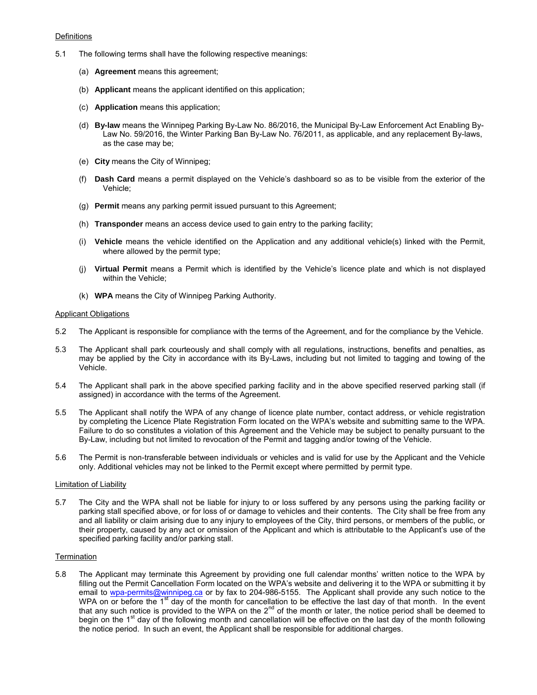#### **Definitions**

- 5.1 The following terms shall have the following respective meanings:
	- (a) **Agreement** means this agreement;
	- (b) **Applicant** means the applicant identified on this application;
	- (c) **Application** means this application;
	- (d) **By-law** means the Winnipeg Parking By-Law No. 86/2016, the Municipal By-Law Enforcement Act Enabling By-Law No. 59/2016, the Winter Parking Ban By-Law No. 76/2011, as applicable, and any replacement By-laws, as the case may be;
	- (e) **City** means the City of Winnipeg;
	- (f) **Dash Card** means a permit displayed on the Vehicle's dashboard so as to be visible from the exterior of the Vehicle;
	- (g) **Permit** means any parking permit issued pursuant to this Agreement;
	- (h) **Transponder** means an access device used to gain entry to the parking facility;
	- (i) **Vehicle** means the vehicle identified on the Application and any additional vehicle(s) linked with the Permit, where allowed by the permit type;
	- (j) **Virtual Permit** means a Permit which is identified by the Vehicle's licence plate and which is not displayed within the Vehicle;
	- (k) **WPA** means the City of Winnipeg Parking Authority.

### Applicant Obligations

- 5.2 The Applicant is responsible for compliance with the terms of the Agreement, and for the compliance by the Vehicle.
- 5.3 The Applicant shall park courteously and shall comply with all regulations, instructions, benefits and penalties, as may be applied by the City in accordance with its By-Laws, including but not limited to tagging and towing of the Vehicle.
- 5.4 The Applicant shall park in the above specified parking facility and in the above specified reserved parking stall (if assigned) in accordance with the terms of the Agreement.
- 5.5 The Applicant shall notify the WPA of any change of licence plate number, contact address, or vehicle registration by completing the Licence Plate Registration Form located on the WPA's website and submitting same to the WPA. Failure to do so constitutes a violation of this Agreement and the Vehicle may be subject to penalty pursuant to the By-Law, including but not limited to revocation of the Permit and tagging and/or towing of the Vehicle.
- 5.6 The Permit is non-transferable between individuals or vehicles and is valid for use by the Applicant and the Vehicle only. Additional vehicles may not be linked to the Permit except where permitted by permit type.

#### Limitation of Liability

5.7 The City and the WPA shall not be liable for injury to or loss suffered by any persons using the parking facility or parking stall specified above, or for loss of or damage to vehicles and their contents. The City shall be free from any and all liability or claim arising due to any injury to employees of the City, third persons, or members of the public, or their property, caused by any act or omission of the Applicant and which is attributable to the Applicant's use of the specified parking facility and/or parking stall.

## **Termination**

5.8 The Applicant may terminate this Agreement by providing one full calendar months' written notice to the WPA by filling out the Permit Cancellation Form located on the WPA's website and delivering it to the WPA or submitting it by email to [wpa-permits@winnipeg.ca](mailto:wpa-permits@winnipeg.ca) or by fax to 204-986-5155. The Applicant shall provide any such notice to the WPA on or before the 1<sup>st</sup> day of the month for cancellation to be effective the last day of that month. In the event that any such notice is provided to the WPA on the  $2^{nd}$  of the month or later, the notice period shall be deemed to begin on the 1<sup>st</sup> day of the following month and cancellation will be effective on the last day of the month following the notice period. In such an event, the Applicant shall be responsible for additional charges.